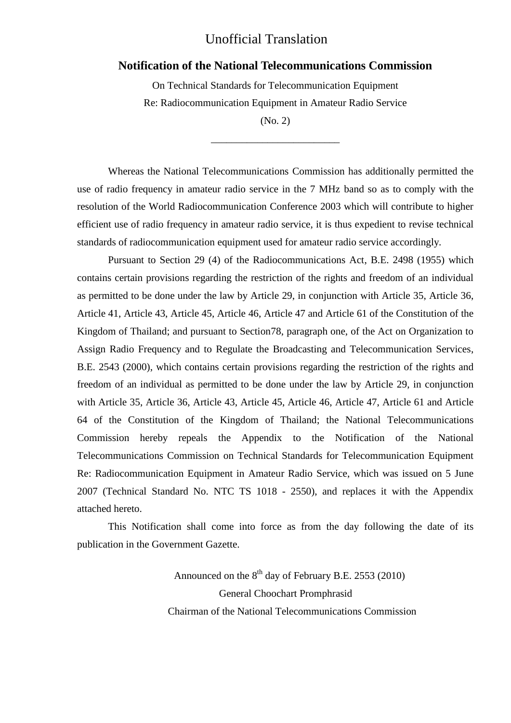## Unofficial Translation

### **Notification of the National Telecommunications Commission**

On Technical Standards for Telecommunication Equipment Re: Radiocommunication Equipment in Amateur Radio Service

(No. 2) \_\_\_\_\_\_\_\_\_\_\_\_\_\_\_\_\_\_\_\_\_\_\_\_\_

Whereas the National Telecommunications Commission has additionally permitted the use of radio frequency in amateur radio service in the 7 MHz band so as to comply with the resolution of the World Radiocommunication Conference 2003 which will contribute to higher efficient use of radio frequency in amateur radio service, it is thus expedient to revise technical standards of radiocommunication equipment used for amateur radio service accordingly.

Pursuant to Section 29 (4) of the Radiocommunications Act, B.E. 2498 (1955) which contains certain provisions regarding the restriction of the rights and freedom of an individual as permitted to be done under the law by Article 29, in conjunction with Article 35, Article 36, Article 41, Article 43, Article 45, Article 46, Article 47 and Article 61 of the Constitution of the Kingdom of Thailand; and pursuant to Section78, paragraph one, of the Act on Organization to Assign Radio Frequency and to Regulate the Broadcasting and Telecommunication Services, B.E. 2543 (2000), which contains certain provisions regarding the restriction of the rights and freedom of an individual as permitted to be done under the law by Article 29, in conjunction with Article 35, Article 36, Article 43, Article 45, Article 46, Article 47, Article 61 and Article 64 of the Constitution of the Kingdom of Thailand; the National Telecommunications Commission hereby repeals the Appendix to the Notification of the National Telecommunications Commission on Technical Standards for Telecommunication Equipment Re: Radiocommunication Equipment in Amateur Radio Service, which was issued on 5 June 2007 (Technical Standard No. NTC TS 1018 - 2550), and replaces it with the Appendix attached hereto.

This Notification shall come into force as from the day following the date of its publication in the Government Gazette.

> Announced on the  $8<sup>th</sup>$  day of February B.E. 2553 (2010) General Choochart Promphrasid Chairman of the National Telecommunications Commission